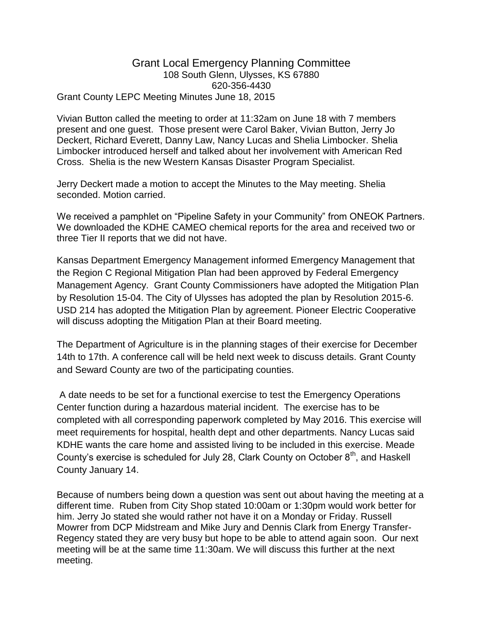## Grant Local Emergency Planning Committee 108 South Glenn, Ulysses, KS 67880 620-356-4430 Grant County LEPC Meeting Minutes June 18, 2015

Vivian Button called the meeting to order at 11:32am on June 18 with 7 members present and one guest. Those present were Carol Baker, Vivian Button, Jerry Jo Deckert, Richard Everett, Danny Law, Nancy Lucas and Shelia Limbocker. Shelia Limbocker introduced herself and talked about her involvement with American Red Cross. Shelia is the new Western Kansas Disaster Program Specialist.

Jerry Deckert made a motion to accept the Minutes to the May meeting. Shelia seconded. Motion carried.

We received a pamphlet on "Pipeline Safety in your Community" from ONEOK Partners. We downloaded the KDHE CAMEO chemical reports for the area and received two or three Tier II reports that we did not have.

Kansas Department Emergency Management informed Emergency Management that the Region C Regional Mitigation Plan had been approved by Federal Emergency Management Agency. Grant County Commissioners have adopted the Mitigation Plan by Resolution 15-04. The City of Ulysses has adopted the plan by Resolution 2015-6. USD 214 has adopted the Mitigation Plan by agreement. Pioneer Electric Cooperative will discuss adopting the Mitigation Plan at their Board meeting.

The Department of Agriculture is in the planning stages of their exercise for December 14th to 17th. A conference call will be held next week to discuss details. Grant County and Seward County are two of the participating counties.

A date needs to be set for a functional exercise to test the Emergency Operations Center function during a hazardous material incident. The exercise has to be completed with all corresponding paperwork completed by May 2016. This exercise will meet requirements for hospital, health dept and other departments. Nancy Lucas said KDHE wants the care home and assisted living to be included in this exercise. Meade County's exercise is scheduled for July 28, Clark County on October 8<sup>th</sup>, and Haskell County January 14.

Because of numbers being down a question was sent out about having the meeting at a different time. Ruben from City Shop stated 10:00am or 1:30pm would work better for him. Jerry Jo stated she would rather not have it on a Monday or Friday. Russell Mowrer from DCP Midstream and Mike Jury and Dennis Clark from Energy Transfer-Regency stated they are very busy but hope to be able to attend again soon. Our next meeting will be at the same time 11:30am. We will discuss this further at the next meeting.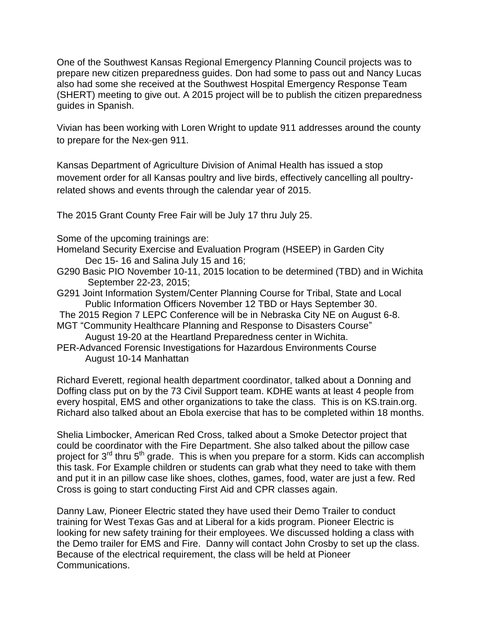One of the Southwest Kansas Regional Emergency Planning Council projects was to prepare new citizen preparedness guides. Don had some to pass out and Nancy Lucas also had some she received at the Southwest Hospital Emergency Response Team (SHERT) meeting to give out. A 2015 project will be to publish the citizen preparedness guides in Spanish.

Vivian has been working with Loren Wright to update 911 addresses around the county to prepare for the Nex-gen 911.

Kansas Department of Agriculture Division of Animal Health has issued a stop movement order for all Kansas poultry and live birds, effectively cancelling all poultryrelated shows and events through the calendar year of 2015.

The 2015 Grant County Free Fair will be July 17 thru July 25.

Some of the upcoming trainings are:

- Homeland Security Exercise and Evaluation Program (HSEEP) in Garden City Dec 15- 16 and Salina July 15 and 16;
- G290 Basic PIO November 10-11, 2015 location to be determined (TBD) and in Wichita September 22-23, 2015;
- G291 Joint Information System/Center Planning Course for Tribal, State and Local Public Information Officers November 12 TBD or Hays September 30.
- The 2015 Region 7 LEPC Conference will be in Nebraska City NE on August 6-8.
- MGT "Community Healthcare Planning and Response to Disasters Course" August 19-20 at the Heartland Preparedness center in Wichita.
- PER-Advanced Forensic Investigations for Hazardous Environments Course August 10-14 Manhattan

Richard Everett, regional health department coordinator, talked about a Donning and Doffing class put on by the 73 Civil Support team. KDHE wants at least 4 people from every hospital, EMS and other organizations to take the class. This is on KS.train.org. Richard also talked about an Ebola exercise that has to be completed within 18 months.

Shelia Limbocker, American Red Cross, talked about a Smoke Detector project that could be coordinator with the Fire Department. She also talked about the pillow case project for  $3^{rd}$  thru  $5^{th}$  grade. This is when you prepare for a storm. Kids can accomplish this task. For Example children or students can grab what they need to take with them and put it in an pillow case like shoes, clothes, games, food, water are just a few. Red Cross is going to start conducting First Aid and CPR classes again.

Danny Law, Pioneer Electric stated they have used their Demo Trailer to conduct training for West Texas Gas and at Liberal for a kids program. Pioneer Electric is looking for new safety training for their employees. We discussed holding a class with the Demo trailer for EMS and Fire. Danny will contact John Crosby to set up the class. Because of the electrical requirement, the class will be held at Pioneer Communications.